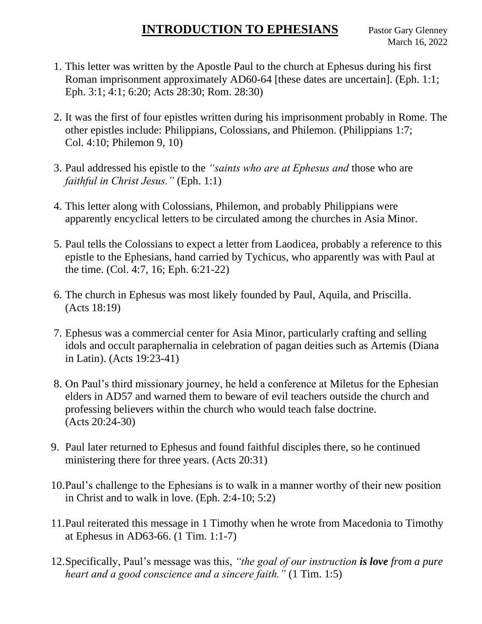## **INTRODUCTION TO EPHESIANS** Pastor Gary Glenney

- 1. This letter was written by the Apostle Paul to the church at Ephesus during his first Roman imprisonment approximately AD60-64 [these dates are uncertain]. (Eph. 1:1; Eph. 3:1; 4:1; 6:20; Acts 28:30; Rom. 28:30)
- 2. It was the first of four epistles written during his imprisonment probably in Rome. The other epistles include: Philippians, Colossians, and Philemon. (Philippians 1:7; Col. 4:10; Philemon 9, 10)
- 3. Paul addressed his epistle to the *"saints who are at Ephesus and* those who are *faithful in Christ Jesus."* (Eph. 1:1)
- 4. This letter along with Colossians, Philemon, and probably Philippians were apparently encyclical letters to be circulated among the churches in Asia Minor.
- 5. Paul tells the Colossians to expect a letter from Laodicea, probably a reference to this epistle to the Ephesians, hand carried by Tychicus, who apparently was with Paul at the time. (Col. 4:7, 16; Eph. 6:21-22)
- 6. The church in Ephesus was most likely founded by Paul, Aquila, and Priscilla. (Acts 18:19)
- 7. Ephesus was a commercial center for Asia Minor, particularly crafting and selling idols and occult paraphernalia in celebration of pagan deities such as Artemis (Diana in Latin). (Acts 19:23-41)
- 8. On Paul's third missionary journey, he held a conference at Miletus for the Ephesian elders in AD57 and warned them to beware of evil teachers outside the church and professing believers within the church who would teach false doctrine. (Acts 20:24-30)
- 9. Paul later returned to Ephesus and found faithful disciples there, so he continued ministering there for three years. (Acts 20:31)
- 10.Paul's challenge to the Ephesians is to walk in a manner worthy of their new position in Christ and to walk in love. (Eph. 2:4-10; 5:2)
- 11.Paul reiterated this message in 1 Timothy when he wrote from Macedonia to Timothy at Ephesus in AD63-66. (1 Tim. 1:1-7)
- 12.Specifically, Paul's message was this, *"the goal of our instruction is love from a pure heart and a good conscience and a sincere faith."* (1 Tim. 1:5)